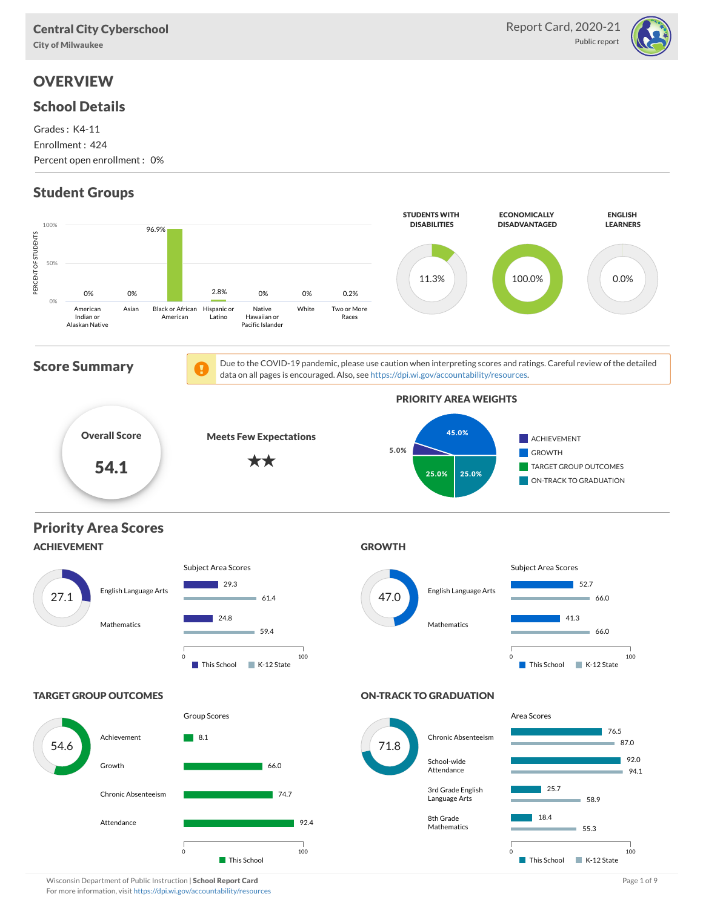City of Milwaukee

# **OVERVIEW**

### School Details

Grades : K4-11 Enrollment : 424 Percent open enrollment : 0%

# Student Groups



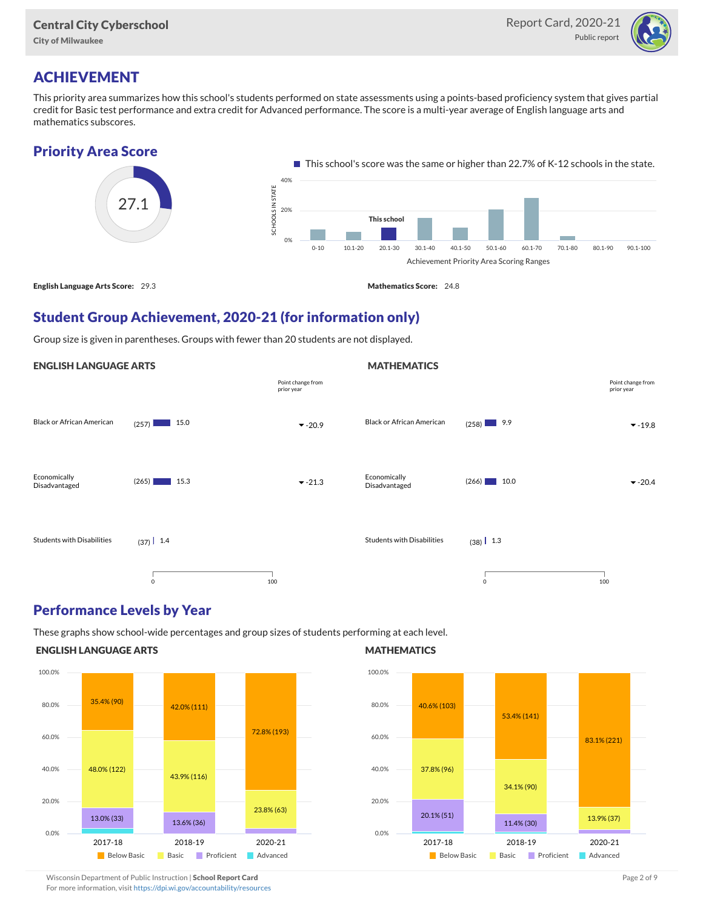

### ACHIEVEMENT

This priority area summarizes how this school's students performed on state assessments using a points-based proficiency system that gives partial credit for Basic test performance and extra credit for Advanced performance. The score is a multi-year average of English language arts and mathematics subscores.

#### Priority Area Score



**MATHEMATICS** 

### Student Group Achievement, 2020-21 (for information only)

Group size is given in parentheses. Groups with fewer than 20 students are not displayed.

#### ENGLISH LANGUAGE ARTS



#### Performance Levels by Year

These graphs show school-wide percentages and group sizes of students performing at each level.

#### ENGLISH LANGUAGE ARTS



#### **MATHEMATICS**



Wisconsin Department of Public Instruction | School Report Card Page 2 of 9 and 2 of 9 and 2 of 9 and 2 of 9 and 2 of 9 and 2 of 9 and 2 of 9 and 2 of 9 and 2 of 9 and 2 of 9 and 2 of 9 and 2 of 9 and 2 of 9 and 2 of 9 and

For more information, visit <https://dpi.wi.gov/accountability/resources>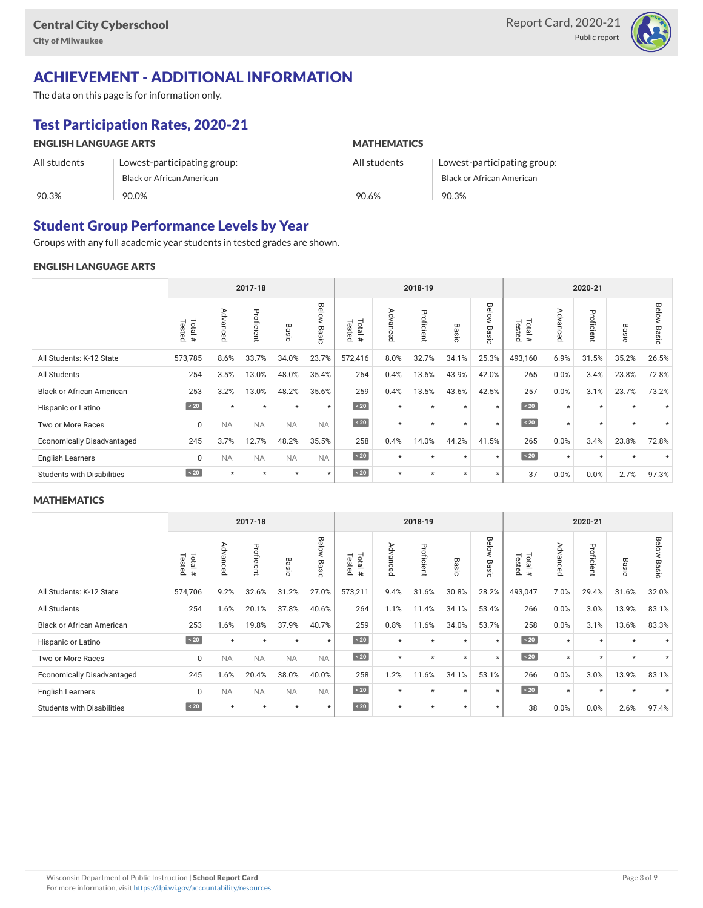

## ACHIEVEMENT - ADDITIONAL INFORMATION

The data on this page is for information only.

## Test Participation Rates, 2020-21

| <b>ENGLISH LANGUAGE ARTS</b> |                             | <b>MATHEMATICS</b> |                             |  |  |  |  |
|------------------------------|-----------------------------|--------------------|-----------------------------|--|--|--|--|
| All students                 | Lowest-participating group: | All students       | Lowest-participating group: |  |  |  |  |
|                              | Black or African American   |                    | Black or African American   |  |  |  |  |
| 90.3%                        | 90.0%                       | 90.6%              | 90.3%                       |  |  |  |  |

### Student Group Performance Levels by Year

Groups with any full academic year students in tested grades are shown.

#### ENGLISH LANGUAGE ARTS

|                                   | 2017-18                  |           |            |           | 2018-19        |                   |          |            | 2020-21    |                |                      |                                      |            |            |                |
|-----------------------------------|--------------------------|-----------|------------|-----------|----------------|-------------------|----------|------------|------------|----------------|----------------------|--------------------------------------|------------|------------|----------------|
|                                   | Total<br>Tested<br>$\pm$ | Advanced  | Proficient | Basic     | Below<br>Basic | Tested<br>Total # | Advanced | Proficient | Вã<br>isic | Below<br>Basic | Tested<br>Total<br># | ⋗<br>evb.<br>∍<br>O<br>Œ<br>$\Omega$ | Proficient | Вã<br>isic | Below<br>Basic |
| All Students: K-12 State          | 573,785                  | 8.6%      | 33.7%      | 34.0%     | 23.7%          | 572,416           | 8.0%     | 32.7%      | 34.1%      | 25.3%          | 493,160              | 6.9%                                 | 31.5%      | 35.2%      | 26.5%          |
| All Students                      | 254                      | 3.5%      | 13.0%      | 48.0%     | 35.4%          | 264               | 0.4%     | 13.6%      | 43.9%      | 42.0%          | 265                  | 0.0%                                 | 3.4%       | 23.8%      | 72.8%          |
| <b>Black or African American</b>  | 253                      | 3.2%      | 13.0%      | 48.2%     | 35.6%          | 259               | 0.4%     | 13.5%      | 43.6%      | 42.5%          | 257                  | 0.0%                                 | 3.1%       | 23.7%      | 73.2%          |
| Hispanic or Latino                | $\sim 20$                | $\star$   | $\star$    | $\star$   | $\star$        | $\angle 20$       | $\star$  | $\star$    | $\star$    | $\star$        | $\sim 20$            | $\star$                              | $\star$    | $\star$    |                |
| Two or More Races                 | 0                        | <b>NA</b> | <b>NA</b>  | <b>NA</b> | <b>NA</b>      | $\sim 20$         | $\star$  | $\star$    | $\star$    | $\star$        | $\angle 20$          | $\star$                              | $\star$    | $\star$    |                |
| <b>Economically Disadvantaged</b> | 245                      | 3.7%      | 12.7%      | 48.2%     | 35.5%          | 258               | 0.4%     | 14.0%      | 44.2%      | 41.5%          | 265                  | 0.0%                                 | 3.4%       | 23.8%      | 72.8%          |
| <b>English Learners</b>           | 0                        | <b>NA</b> | <b>NA</b>  | <b>NA</b> | <b>NA</b>      | $\sim 20$         | $\star$  | $\star$    | $\star$    | $\star$        | $\sim 20$            | $\star$                              | $\star$    | $\star$    |                |
| <b>Students with Disabilities</b> | $\angle 20$              | $\star$   | $\star$    | $\star$   | $\star$        | $\angle 20$       | $\star$  | $\star$    | $\star$    | $\star$        | 37                   | 0.0%                                 | 0.0%       | 2.7%       | 97.3%          |

#### **MATHEMATICS**

|                                   | 2017-18           |             |            |           | 2018-19                    |                   |          |            | 2020-21              |                           |                            |                                      |                |                      |                |
|-----------------------------------|-------------------|-------------|------------|-----------|----------------------------|-------------------|----------|------------|----------------------|---------------------------|----------------------------|--------------------------------------|----------------|----------------------|----------------|
|                                   | Tested<br>Total # | Advanc<br>Ä | Proficient | Basic     | Below<br>$\varpi$<br>iasic | Tested<br>Total # | Advanced | Proficient | Вā<br>≌.<br>$\Omega$ | Below<br>$\infty$<br>asic | Tested<br><b>Tota</b><br># | ⋗<br>evb.<br>∍<br>O<br>Œ<br>$\Omega$ | Profici<br>eur | Βã<br>፵.<br>$\Omega$ | Below<br>Basic |
| All Students: K-12 State          | 574,706           | 9.2%        | 32.6%      | 31.2%     | 27.0%                      | 573,211           | 9.4%     | 31.6%      | 30.8%                | 28.2%                     | 493,047                    | 7.0%                                 | 29.4%          | 31.6%                | 32.0%          |
| All Students                      | 254               | 1.6%        | 20.1%      | 37.8%     | 40.6%                      | 264               | 1.1%     | 11.4%      | 34.1%                | 53.4%                     | 266                        | 0.0%                                 | 3.0%           | 13.9%                | 83.1%          |
| <b>Black or African American</b>  | 253               | 1.6%        | 19.8%      | 37.9%     | 40.7%                      | 259               | 0.8%     | 11.6%      | 34.0%                | 53.7%                     | 258                        | 0.0%                                 | 3.1%           | 13.6%                | 83.3%          |
| Hispanic or Latino                | $\sim 20$         | $\star$     | $\star$    | $\star$   | $\star$                    | $\sim 20$         | $\star$  | $\star$    | $\star$              | $\star$                   | $\sim 20$                  | $\star$                              | $\star$        | $\star$              |                |
| Two or More Races                 | $\Omega$          | <b>NA</b>   | <b>NA</b>  | <b>NA</b> | <b>NA</b>                  | $\angle 20$       | $\star$  | $\star$    | $\star$              | $\star$                   | $\sim 20$                  | $\star$                              | $\star$        | $\star$              | $\star$        |
| <b>Economically Disadvantaged</b> | 245               | 1.6%        | 20.4%      | 38.0%     | 40.0%                      | 258               | 1.2%     | 11.6%      | 34.1%                | 53.1%                     | 266                        | 0.0%                                 | 3.0%           | 13.9%                | 83.1%          |
| <b>English Learners</b>           | 0                 | <b>NA</b>   | <b>NA</b>  | <b>NA</b> | <b>NA</b>                  | $\sim 20$         | $\star$  | $\star$    | $\star$              | $\star$                   | $\sim 20$                  | $\star$                              | $\star$        | $\star$              |                |
| <b>Students with Disabilities</b> | $\sim 20$         | $\star$     | $\star$    | $\star$   | $\star$                    | $\angle 20$       | $\star$  | $\star$    | $\star$              | $\star$                   | 38                         | 0.0%                                 | 0.0%           | 2.6%                 | 97.4%          |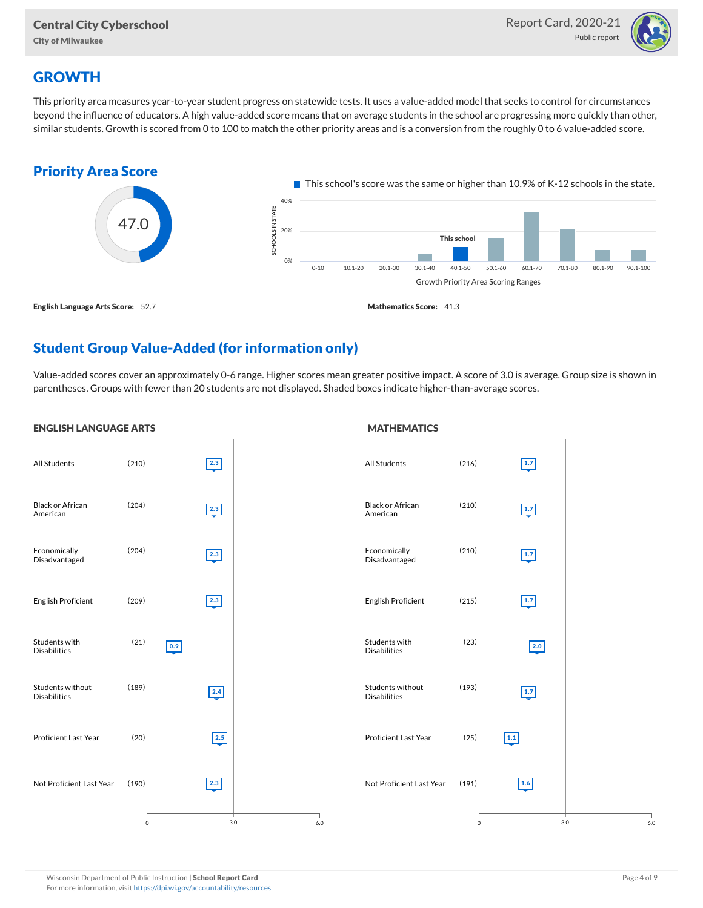

# **GROWTH**

This priority area measures year-to-year student progress on statewide tests. It uses a value-added model that seeks to control for circumstances beyond the influence of educators. A high value-added score means that on average students in the school are progressing more quickly than other, similar students. Growth is scored from 0 to 100 to match the other priority areas and is a conversion from the roughly 0 to 6 value-added score.



## Student Group Value-Added (for information only)

Value-added scores cover an approximately 0-6 range. Higher scores mean greater positive impact. A score of 3.0 is average. Group size is shown in parentheses. Groups with fewer than 20 students are not displayed. Shaded boxes indicate higher-than-average scores.

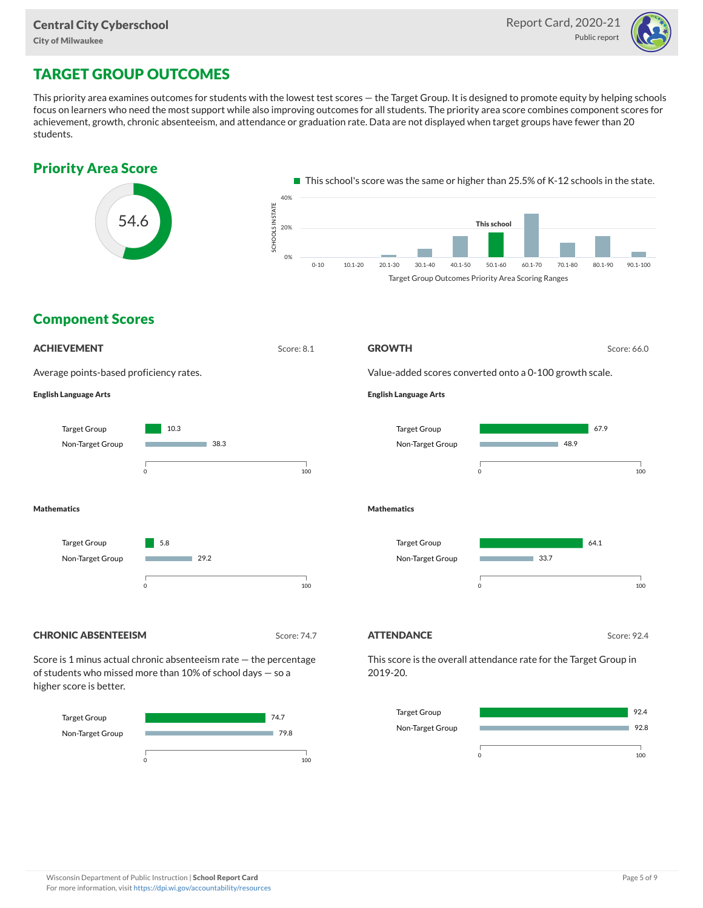

# TARGET GROUP OUTCOMES

This priority area examines outcomes for students with the lowest test scores — the Target Group. It is designed to promote equity by helping schools focus on learners who need the most support while also improving outcomes for all students. The priority area score combines component scores for achievement, growth, chronic absenteeism, and attendance or graduation rate. Data are not displayed when target groups have fewer than 20 students.





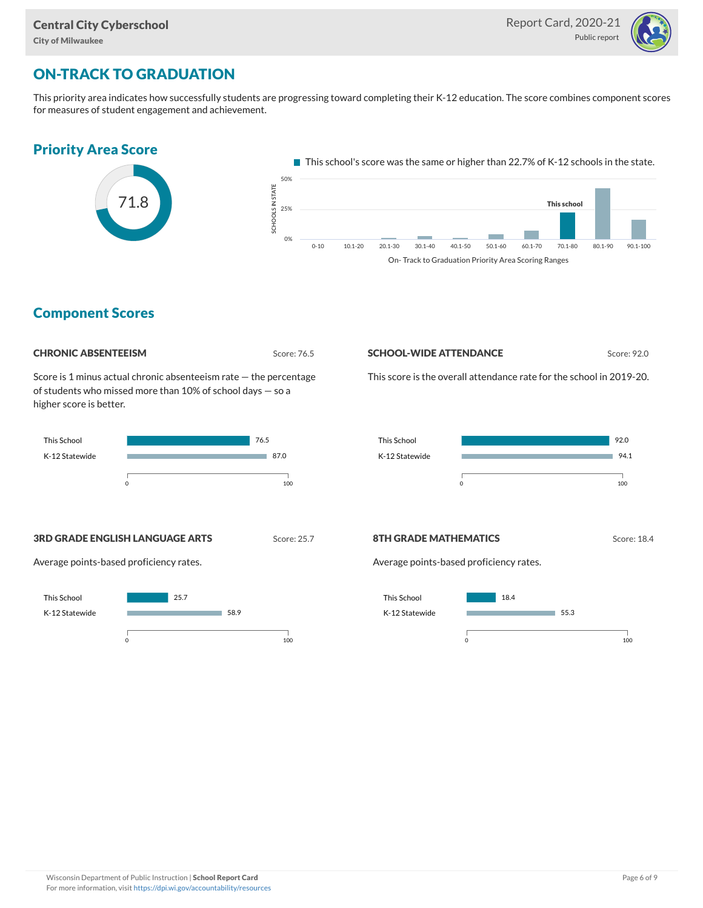

# ON-TRACK TO GRADUATION

This priority area indicates how successfully students are progressing toward completing their K-12 education. The score combines component scores for measures of student engagement and achievement.



### Component Scores



Score is 1 minus actual chronic absenteeism rate — the percentage of students who missed more than 10% of school days — so a higher score is better.



#### **SCHOOL-WIDE ATTENDANCE** Score: 92.0

This score is the overall attendance rate for the school in 2019-20.



#### **3RD GRADE ENGLISH LANGUAGE ARTS** Score: 25.7

Average points-based proficiency rates.



#### **8TH GRADE MATHEMATICS** Score: 18.4

Average points-based proficiency rates.

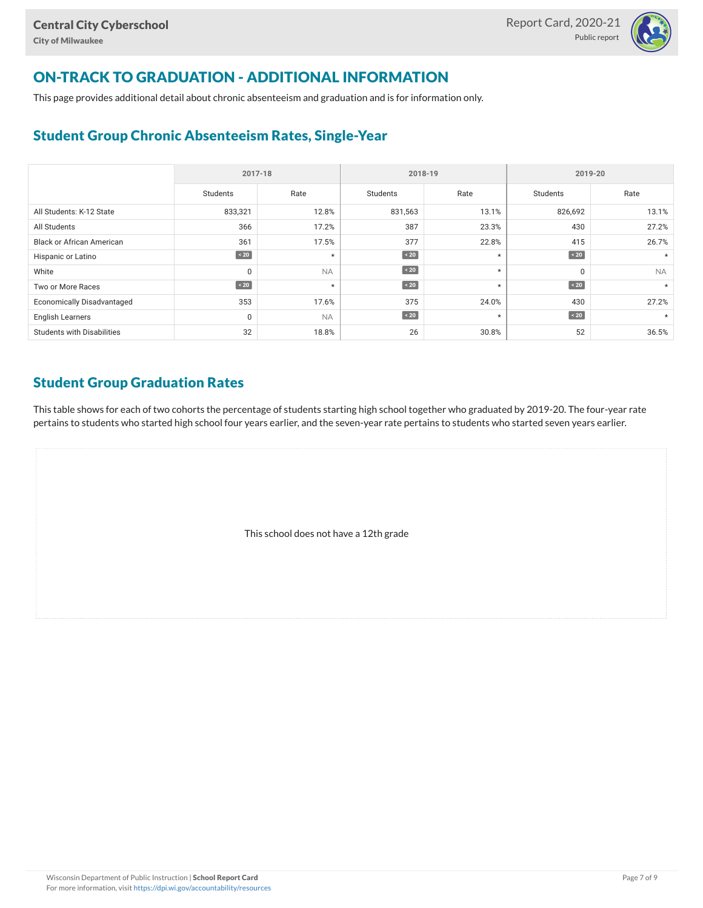

# ON-TRACK TO GRADUATION - ADDITIONAL INFORMATION

This page provides additional detail about chronic absenteeism and graduation and is for information only.

### Student Group Chronic Absenteeism Rates, Single-Year

|                                   | 2017-18     |           | 2018-19   |         | 2019-20   |           |  |
|-----------------------------------|-------------|-----------|-----------|---------|-----------|-----------|--|
|                                   | Students    | Rate      | Students  | Rate    | Students  | Rate      |  |
| All Students: K-12 State          | 833,321     | 12.8%     | 831,563   | 13.1%   | 826,692   | 13.1%     |  |
| All Students                      | 366         | 17.2%     | 387       | 23.3%   | 430       | 27.2%     |  |
| <b>Black or African American</b>  | 361         | 17.5%     | 377       | 22.8%   | 415       | 26.7%     |  |
| Hispanic or Latino                | $\angle 20$ | $\star$   | $\sim 20$ | $\star$ | $\sim 20$ |           |  |
| White                             | $\Omega$    | <b>NA</b> | $\sim 20$ | $\star$ | 0         | <b>NA</b> |  |
| Two or More Races                 | $\angle 20$ | $\star$   | $\sim 20$ | $\star$ | $\sim 20$ | $\star$   |  |
| <b>Economically Disadvantaged</b> | 353         | 17.6%     | 375       | 24.0%   | 430       | 27.2%     |  |
| <b>English Learners</b>           | $\mathbf 0$ | <b>NA</b> | $\sim 20$ | $\star$ | $\sim 20$ |           |  |
| <b>Students with Disabilities</b> | 32          | 18.8%     | 26        | 30.8%   | 52        | 36.5%     |  |

### Student Group Graduation Rates

This table shows for each of two cohorts the percentage of students starting high school together who graduated by 2019-20. The four-year rate pertains to students who started high school four years earlier, and the seven-year rate pertains to students who started seven years earlier.

This school does not have a 12th grade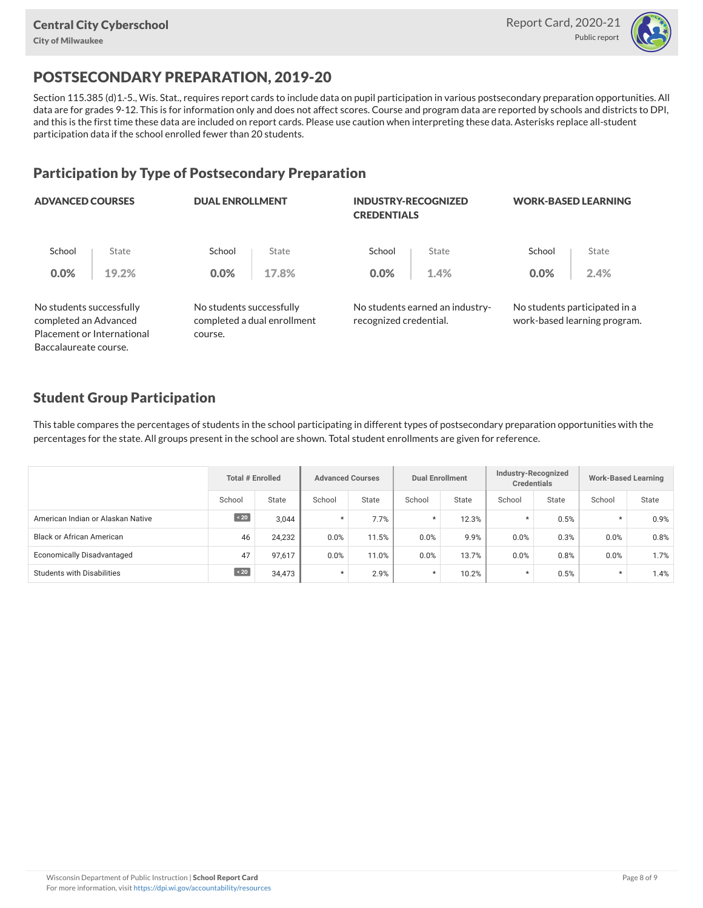

# POSTSECONDARY PREPARATION, 2019-20

Section 115.385 (d)1.-5., Wis. Stat., requires report cards to include data on pupil participation in various postsecondary preparation opportunities. All data are for grades 9-12. This is for information only and does not affect scores. Course and program data are reported by schools and districts to DPI, and this is the first time these data are included on report cards. Please use caution when interpreting these data. Asterisks replace all-student participation data if the school enrolled fewer than 20 students.

### Participation by Type of Postsecondary Preparation

| <b>ADVANCED COURSES</b>                           |                            | <b>DUAL ENROLLMENT</b>              |                             | <b>INDUSTRY-RECOGNIZED</b><br><b>CREDENTIALS</b> |                                 | <b>WORK-BASED LEARNING</b> |                                                               |  |
|---------------------------------------------------|----------------------------|-------------------------------------|-----------------------------|--------------------------------------------------|---------------------------------|----------------------------|---------------------------------------------------------------|--|
| School                                            | State                      | School                              | State                       | School                                           | State                           | School                     | State                                                         |  |
| 0.0%                                              | 19.2%                      | $0.0\%$                             | 17.8%                       | 0.0%                                             | 1.4%                            | 0.0%                       | 2.4%                                                          |  |
| No students successfully<br>completed an Advanced | Placement or International | No students successfully<br>course. | completed a dual enrollment | recognized credential.                           | No students earned an industry- |                            | No students participated in a<br>work-based learning program. |  |
| Baccalaureate course.                             |                            |                                     |                             |                                                  |                                 |                            |                                                               |  |

### Student Group Participation

This table compares the percentages of students in the school participating in different types of postsecondary preparation opportunities with the percentages for the state. All groups present in the school are shown. Total student enrollments are given for reference.

|                                   | <b>Total # Enrolled</b> |        | <b>Advanced Courses</b> |       | <b>Dual Enrollment</b> |       | Industry-Recognized<br><b>Credentials</b> |       | <b>Work-Based Learning</b> |              |
|-----------------------------------|-------------------------|--------|-------------------------|-------|------------------------|-------|-------------------------------------------|-------|----------------------------|--------------|
|                                   | School                  | State  | School                  | State | School                 | State | School                                    | State | School                     | <b>State</b> |
| American Indian or Alaskan Native | $\sim 20$               | 3.044  |                         | 7.7%  | $\star$                | 12.3% | $\star$                                   | 0.5%  | $\star$                    | 0.9%         |
| <b>Black or African American</b>  | 46                      | 24,232 | 0.0%                    | 11.5% | 0.0%                   | 9.9%  | 0.0%                                      | 0.3%  | 0.0%                       | 0.8%         |
| Economically Disadvantaged        | 47                      | 97,617 | 0.0%                    | 11.0% | 0.0%                   | 13.7% | 0.0%                                      | 0.8%  | 0.0%                       | 1.7%         |
| <b>Students with Disabilities</b> | $\angle 20$             | 34,473 | $\star$                 | 2.9%  | $\star$                | 10.2% | $\star$                                   | 0.5%  | $\star$                    | 1.4%         |